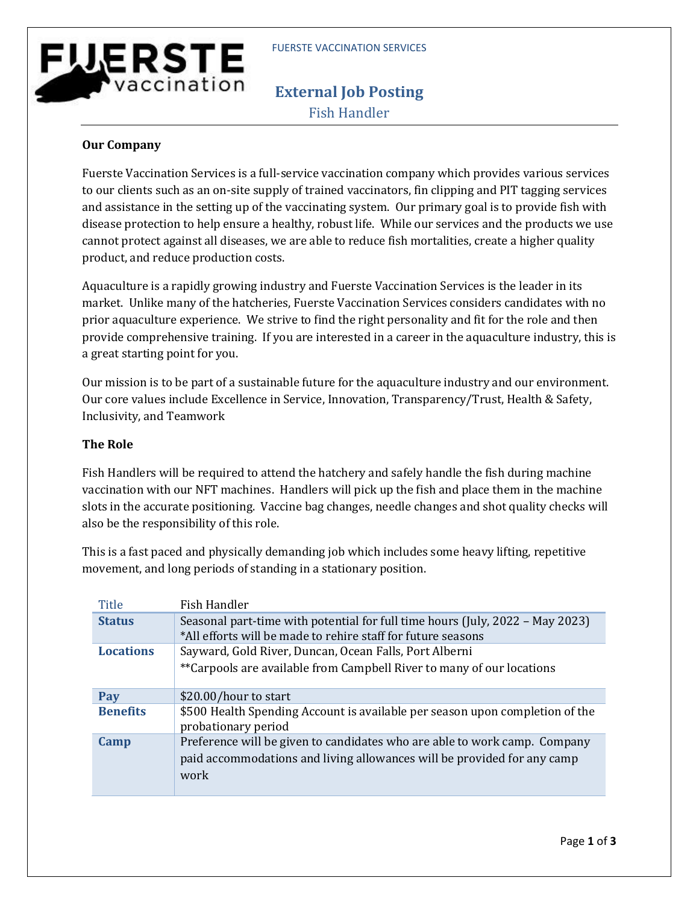# **FUERSTE** vaccination

# **External Job Posting** Fish Handler

### **Our Company**

Fuerste Vaccination Services is a full-service vaccination company which provides various services to our clients such as an on-site supply of trained vaccinators, fin clipping and PIT tagging services and assistance in the setting up of the vaccinating system. Our primary goal is to provide fish with disease protection to help ensure a healthy, robust life. While our services and the products we use cannot protect against all diseases, we are able to reduce fish mortalities, create a higher quality product, and reduce production costs.

Aquaculture is a rapidly growing industry and Fuerste Vaccination Services is the leader in its market. Unlike many of the hatcheries, Fuerste Vaccination Services considers candidates with no prior aquaculture experience. We strive to find the right personality and fit for the role and then provide comprehensive training. If you are interested in a career in the aquaculture industry, this is a great starting point for you.

Our mission is to be part of a sustainable future for the aquaculture industry and our environment. Our core values include Excellence in Service, Innovation, Transparency/Trust, Health & Safety, Inclusivity, and Teamwork

#### **The Role**

Fish Handlers will be required to attend the hatchery and safely handle the fish during machine vaccination with our NFT machines. Handlers will pick up the fish and place them in the machine slots in the accurate positioning. Vaccine bag changes, needle changes and shot quality checks will also be the responsibility of this role.

This is a fast paced and physically demanding job which includes some heavy lifting, repetitive movement, and long periods of standing in a stationary position.

| Title            | Fish Handler                                                                                        |
|------------------|-----------------------------------------------------------------------------------------------------|
| <b>Status</b>    | Seasonal part-time with potential for full time hours (July, 2022 – May 2023)                       |
|                  | *All efforts will be made to rehire staff for future seasons                                        |
| <b>Locations</b> | Sayward, Gold River, Duncan, Ocean Falls, Port Alberni                                              |
|                  | **Carpools are available from Campbell River to many of our locations                               |
| Pay              | \$20.00/hour to start                                                                               |
| <b>Benefits</b>  | \$500 Health Spending Account is available per season upon completion of the<br>probationary period |
| Camp             | Preference will be given to candidates who are able to work camp. Company                           |
|                  | paid accommodations and living allowances will be provided for any camp                             |
|                  | work                                                                                                |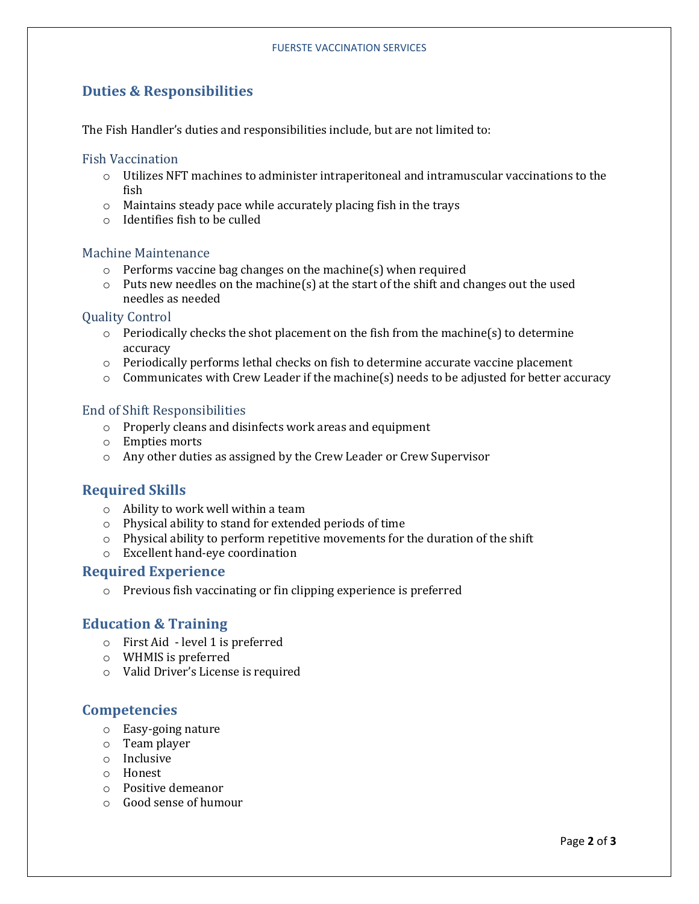## **Duties & Responsibilities**

The Fish Handler's duties and responsibilities include, but are not limited to:

#### Fish Vaccination

- o Utilizes NFT machines to administer intraperitoneal and intramuscular vaccinations to the fish
- o Maintains steady pace while accurately placing fish in the trays
- o Identifies fish to be culled

#### Machine Maintenance

- o Performs vaccine bag changes on the machine(s) when required
- $\circ$  Puts new needles on the machine(s) at the start of the shift and changes out the used needles as needed

#### Quality Control

- o Periodically checks the shot placement on the fish from the machine(s) to determine accuracy
- o Periodically performs lethal checks on fish to determine accurate vaccine placement
- $\circ$  Communicates with Crew Leader if the machine(s) needs to be adjusted for better accuracy

#### End of Shift Responsibilities

- o Properly cleans and disinfects work areas and equipment
- o Empties morts
- o Any other duties as assigned by the Crew Leader or Crew Supervisor

#### **Required Skills**

- o Ability to work well within a team
- o Physical ability to stand for extended periods of time
- $\circ$  Physical ability to perform repetitive movements for the duration of the shift
- o Excellent hand-eye coordination

#### **Required Experience**

o Previous fish vaccinating or fin clipping experience is preferred

#### **Education & Training**

- o First Aid level 1 is preferred
- o WHMIS is preferred
- o Valid Driver's License is required

#### **Competencies**

- o Easy-going nature
- o Team player
- o Inclusive
- o Honest
- o Positive demeanor
- o Good sense of humour